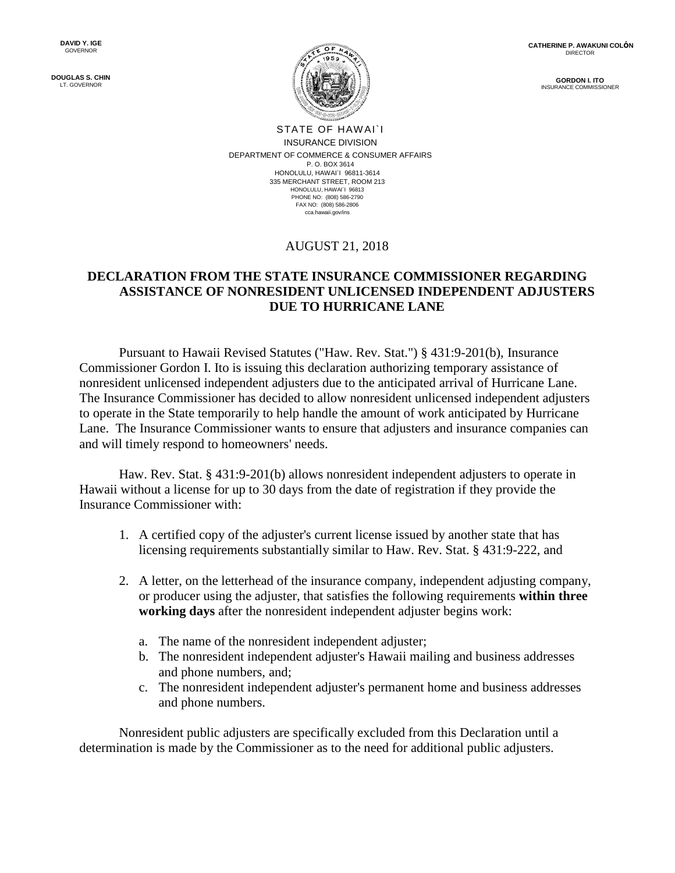**DOUGLAS S. CHIN** LT. GOVERNOR

**GORDON I. ITO** INSURANCE COM



STATE OF HAWAI`I INSURANCE DIVISION DEPARTMENT OF COMMERCE & CONSUMER AFFAIRS P. O. BOX 3614 HONOLULU, HAWAI`I 96811-3614 335 MERCHANT STREET, ROOM 213 HONOLULU, HAWAI`I 96813 PHONE NO: (808) 586-2790 FAX NO: (808) 586-2806 cca.hawaii.gov/ins

## AUGUST 21, 2018

## **DECLARATION FROM THE STATE INSURANCE COMMISSIONER REGARDING ASSISTANCE OF NONRESIDENT UNLICENSED INDEPENDENT ADJUSTERS DUE TO HURRICANE LANE**

Pursuant to Hawaii Revised Statutes ("Haw. Rev. Stat.") § 431:9-201(b), Insurance Commissioner Gordon I. Ito is issuing this declaration authorizing temporary assistance of nonresident unlicensed independent adjusters due to the anticipated arrival of Hurricane Lane. The Insurance Commissioner has decided to allow nonresident unlicensed independent adjusters to operate in the State temporarily to help handle the amount of work anticipated by Hurricane Lane. The Insurance Commissioner wants to ensure that adjusters and insurance companies can and will timely respond to homeowners' needs.

Haw. Rev. Stat. § 431:9-201(b) allows nonresident independent adjusters to operate in Hawaii without a license for up to 30 days from the date of registration if they provide the Insurance Commissioner with:

- 1. A certified copy of the adjuster's current license issued by another state that has licensing requirements substantially similar to Haw. Rev. Stat. § 431:9-222, and
- 2. A letter, on the letterhead of the insurance company, independent adjusting company, or producer using the adjuster, that satisfies the following requirements **within three working days** after the nonresident independent adjuster begins work:
	- a. The name of the nonresident independent adjuster;
	- b. The nonresident independent adjuster's Hawaii mailing and business addresses and phone numbers, and;
	- c. The nonresident independent adjuster's permanent home and business addresses and phone numbers.

Nonresident public adjusters are specifically excluded from this Declaration until a determination is made by the Commissioner as to the need for additional public adjusters.